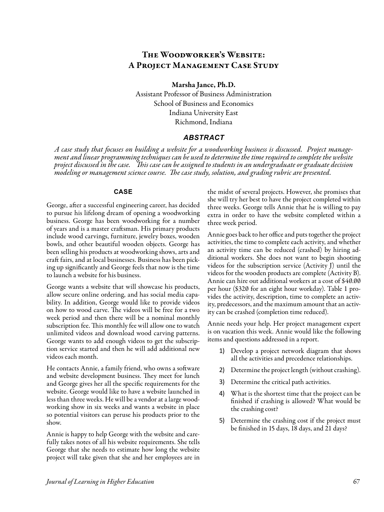# The Woodworker's Website: A Project Management Case Study

Marsha Jance, Ph.D.

Assistant Professor of Business Administration School of Business and Economics Indiana University East Richmond, Indiana

### *ABSTRACT*

A case study that focuses on building a website for a woodworking business is discussed. Project manage-<br>ment and linear programming techniques can be used to determine the time required to complete the website *project discussed in the case. This case can be assigned to students in an undergraduate or graduate decision modeling or management science course. The case study, solution, and grading rubric are presented.* 

#### **CASE**

George, after a successful engineering career, has decided to pursue his lifelong dream of opening a woodworking business. George has been woodworking for a number of years and is a master craftsman. His primary products include wood carvings, furniture, jewelry boxes, wooden bowls, and other beautiful wooden objects. George has been selling his products at woodworking shows, arts and craft fairs, and at local businesses. Business has been picking up significantly and George feels that now is the time to launch a website for his business.

George wants a website that will showcase his products, allow secure online ordering, and has social media capability. In addition, George would like to provide videos on how to wood carve. The videos will be free for a two week period and then there will be a nominal monthly subscription fee. This monthly fee will allow one to watch unlimited videos and download wood carving patterns. George wants to add enough videos to get the subscription service started and then he will add additional new videos each month.

He contacts Annie, a family friend, who owns a software and website development business. They meet for lunch and George gives her all the specific requirements for the website. George would like to have a website launched in less than three weeks. He will be a vendor at a large woodworking show in six weeks and wants a website in place so potential visitors can peruse his products prior to the show.

Annie is happy to help George with the website and carefully takes notes of all his website requirements. She tells George that she needs to estimate how long the website project will take given that she and her employees are in

the midst of several projects. However, she promises that she will try her best to have the project completed within three weeks. George tells Annie that he is willing to pay extra in order to have the website completed within a three week period.

Annie goes back to her office and puts together the project activities, the time to complete each activity, and whether an activity time can be reduced (crashed) by hiring additional workers. She does not want to begin shooting videos for the subscription service (Activity J) until the videos for the wooden products are complete (Activity B). Annie can hire out additional workers at a cost of \$40.00 per hour (\$320 for an eight hour workday). Table 1 provides the activity, description, time to complete an activity, predecessors, and the maximum amount that an activity can be crashed (completion time reduced).

Annie needs your help. Her project management expert is on vacation this week. Annie would like the following items and questions addressed in a report.

- 1) Develop a project network diagram that shows all the activities and precedence relationships.
- 2) Determine the project length (without crashing).
- 3) Determine the critical path activities.
- 4) What is the shortest time that the project can be finished if crashing is allowed? What would be the crashing cost?
- 5) Determine the crashing cost if the project must be finished in 15 days, 18 days, and 21 days?